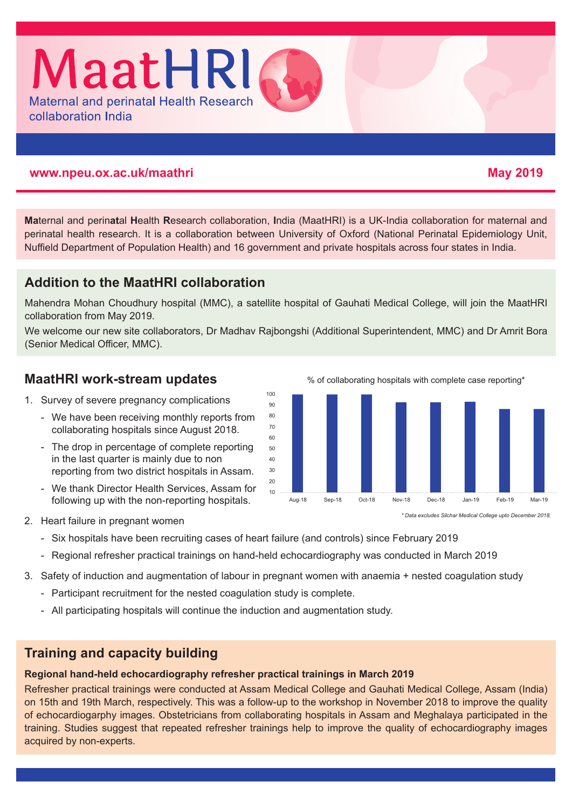

#### **www.npeu.ox.ac.uk/maathri May 2019**

## **Ma**ternal and perin**at**al **H**ealth **R**esearch collaboration, **I**ndia (MaatHRI) is a UK-India collaboration for maternal and perinatal health research. It is a collaboration between University of Oxford (National Perinatal Epidemiology Unit, Nuffield Department of Population Health) and 16 government and private hospitals across four states in India.

# **Addition to the MaatHRI collaboration**

Mahendra Mohan Choudhury hospital (MMC), a satellite hospital of Gauhati Medical College, will join the MaatHRI collaboration from May 2019.

We welcome our new site collaborators, Dr Madhav Rajbongshi (Additional Superintendent, MMC) and Dr Amrit Bora (Senior Medical Officer, MMC).

### **MaatHRI work-stream updates**

- 1. Survey of severe pregnancy complications
	- We have been receiving monthly reports from collaborating hospitals since August 2018.
	- The drop in percentage of complete reporting in the last quarter is mainly due to non reporting from two district hospitals in Assam.
	- We thank Director Health Services, Assam for following up with the non-reporting hospitals.

% of collaborating hospitals with complete case reporting\*



*\* Data excludes Silchar Medical College upto December 2018.*

- 2. Heart failure in pregnant women
	- Six hospitals have been recruiting cases of heart failure (and controls) since February 2019
	- Regional refresher practical trainings on hand-held echocardiography was conducted in March 2019
- 3. Safety of induction and augmentation of labour in pregnant women with anaemia + nested coagulation study
	- Participant recruitment for the nested coagulation study is complete.
	- All participating hospitals will continue the induction and augmentation study.

## **Training and capacity building**

#### **Regional hand-held echocardiography refresher practical trainings in March 2019**

Refresher practical trainings were conducted at Assam Medical College and Gauhati Medical College, Assam (India) on 15th and 19th March, respectively. This was a follow-up to the workshop in November 2018 to improve the quality of echocardiogarphy images. Obstetricians from collaborating hospitals in Assam and Meghalaya participated in the training. Studies suggest that repeated refresher trainings help to improve the quality of echocardiography images acquired by non-experts.